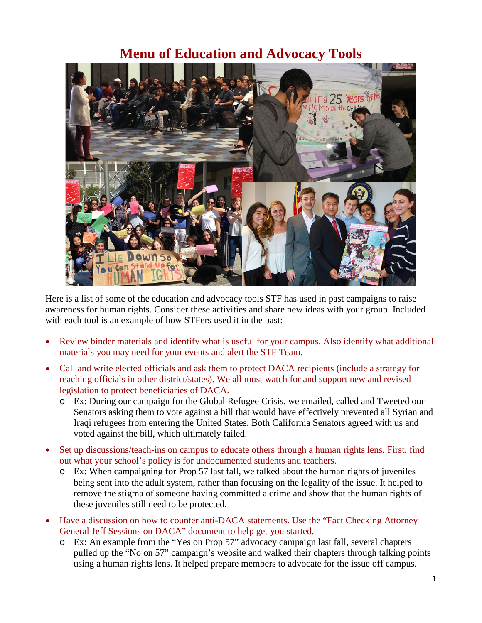## **Menu of Education and Advocacy Tools**



Here is a list of some of the education and advocacy tools STF has used in past campaigns to raise awareness for human rights. Consider these activities and share new ideas with your group. Included with each tool is an example of how STFers used it in the past:

- Review binder materials and identify what is useful for your campus. Also identify what additional materials you may need for your events and alert the STF Team.
- Call and write elected officials and ask them to protect DACA recipients (include a strategy for reaching officials in other district/states). We all must watch for and support new and revised legislation to protect beneficiaries of DACA.
	- o Ex: During our campaign for the Global Refugee Crisis, we emailed, called and Tweeted our Senators asking them to vote against a bill that would have effectively prevented all Syrian and Iraqi refugees from entering the United States. Both California Senators agreed with us and voted against the bill, which ultimately failed.
- Set up discussions/teach-ins on campus to educate others through a human rights lens. First, find out what your school's policy is for undocumented students and teachers.
	- o Ex: When campaigning for Prop 57 last fall, we talked about the human rights of juveniles being sent into the adult system, rather than focusing on the legality of the issue. It helped to remove the stigma of someone having committed a crime and show that the human rights of these juveniles still need to be protected.
- Have a discussion on how to counter anti-DACA statements. Use the "Fact Checking Attorney General Jeff Sessions on DACA" document to help get you started.
	- o Ex: An example from the "Yes on Prop 57" advocacy campaign last fall, several chapters pulled up the "No on 57" campaign's website and walked their chapters through talking points using a human rights lens. It helped prepare members to advocate for the issue off campus.